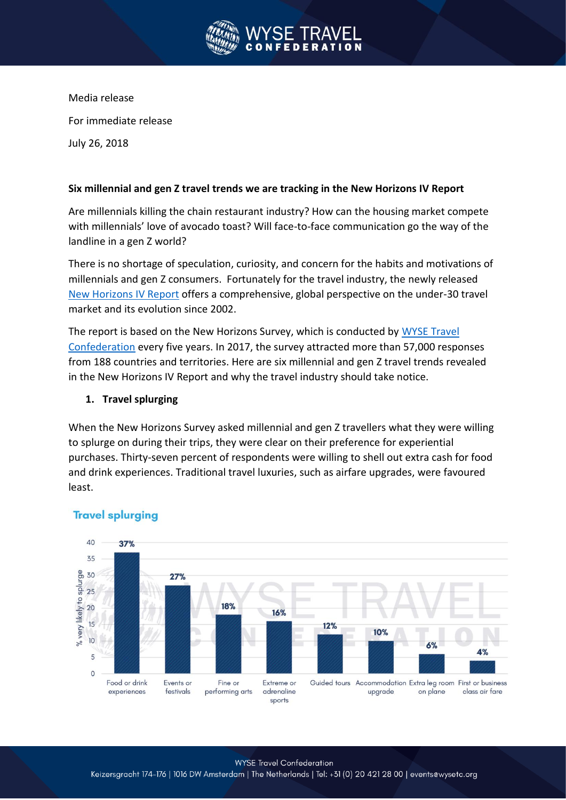

Media release For immediate release July 26, 2018

#### **Six millennial and gen Z travel trends we are tracking in the New Horizons IV Report**

Are millennials killing the chain restaurant industry? How can the housing market compete with millennials' love of avocado toast? Will face-to-face communication go the way of the landline in a gen Z world?

There is no shortage of speculation, curiosity, and concern for the habits and motivations of millennials and gen Z consumers. Fortunately for the travel industry, the newly released New Horizons IV Report offers a comprehensive, global perspective on the under-30 travel market and its evolution since 2002.

The report is based on the New Horizons Survey, which is conducted by WYSE Travel Confederation every five years. In 2017, the survey attracted more than 57,000 responses from 188 countries and territories. Here are six millennial and gen Z travel trends revealed in the New Horizons IV Report and why the travel industry should take notice.

#### **1. Travel splurging**

When the New Horizons Survey asked millennial and gen Z travellers what they were willing to splurge on during their trips, they were clear on their preference for experiential purchases. Thirty-seven percent of respondents were willing to shell out extra cash for food and drink experiences. Traditional travel luxuries, such as airfare upgrades, were favoured least.



## **Travel splurging**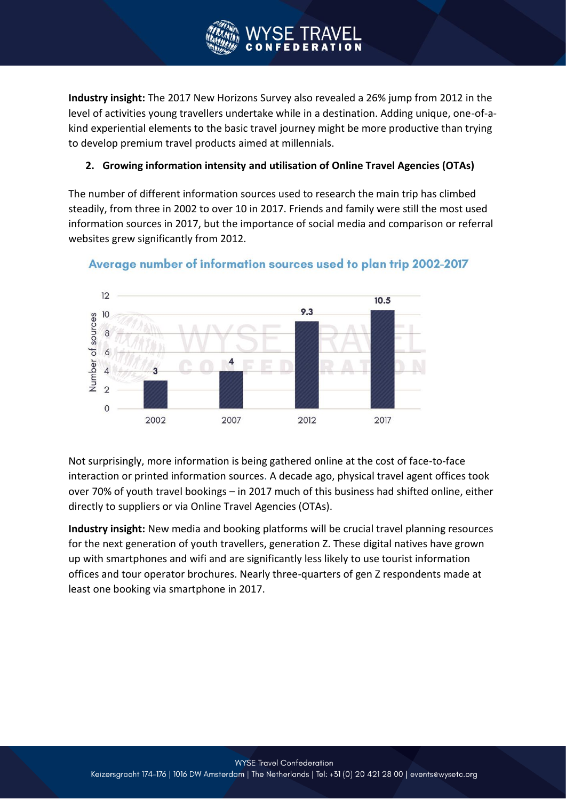

**Industry insight:** The 2017 New Horizons Survey also revealed a 26% jump from 2012 in the level of activities young travellers undertake while in a destination. Adding unique, one-of-akind experiential elements to the basic travel journey might be more productive than trying to develop premium travel products aimed at millennials.

# **2. Growing information intensity and utilisation of Online Travel Agencies (OTAs)**

The number of different information sources used to research the main trip has climbed steadily, from three in 2002 to over 10 in 2017. Friends and family were still the most used information sources in 2017, but the importance of social media and comparison or referral websites grew significantly from 2012.





Not surprisingly, more information is being gathered online at the cost of face-to-face interaction or printed information sources. A decade ago, physical travel agent offices took over 70% of youth travel bookings – in 2017 much of this business had shifted online, either directly to suppliers or via Online Travel Agencies (OTAs).

**Industry insight:** New media and booking platforms will be crucial travel planning resources for the next generation of youth travellers, generation Z. These digital natives have grown up with smartphones and wifi and are significantly less likely to use tourist information offices and tour operator brochures. Nearly three-quarters of gen Z respondents made at least one booking via smartphone in 2017.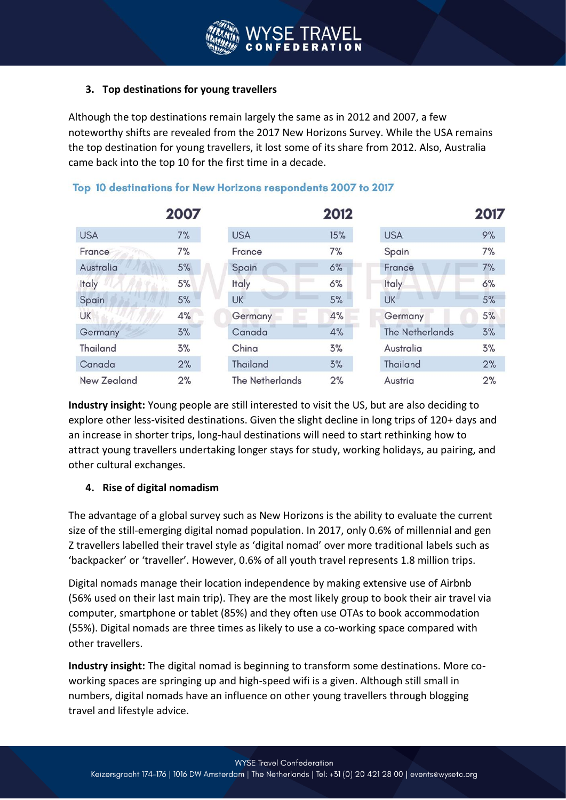# **3. Top destinations for young travellers**

Although the top destinations remain largely the same as in 2012 and 2007, a few noteworthy shifts are revealed from the 2017 New Horizons Survey. While the USA remains the top destination for young travellers, it lost some of its share from 2012. Also, Australia came back into the top 10 for the first time in a decade.

|                    | 2007 |                        | 2012 |                        | 2017 |
|--------------------|------|------------------------|------|------------------------|------|
| <b>USA</b>         | 7%   | <b>USA</b>             | 15%  | <b>USA</b>             | 9%   |
| France             | 7%   | France                 | 7%   | Spain                  | 7%   |
| Australia          | 5%   | Spain                  | 6%   | France                 | 7%   |
| Italy              | 5%   | Italy                  | 6%   | Italy                  | 6%   |
| Spain              | 5%   | <b>UK</b>              | 5%   | <b>UK</b>              | 5%   |
| UK                 | 4%   | Germany                | 4%   | Germany                | 5%   |
| Germany            | 3%   | Canada                 | 4%   | <b>The Netherlands</b> | 3%   |
| <b>Thailand</b>    | 3%   | China                  | 3%   | Australia              | 3%   |
| Canada             | 2%   | Thailand               | 3%   | Thailand               | 2%   |
| <b>New Zealand</b> | 2%   | <b>The Netherlands</b> | 2%   | Austria                | 2%   |

# Top 10 destinations for New Horizons respondents 2007 to 2017

**Industry insight:** Young people are still interested to visit the US, but are also deciding to explore other less-visited destinations. Given the slight decline in long trips of 120+ days and an increase in shorter trips, long-haul destinations will need to start rethinking how to attract young travellers undertaking longer stays for study, working holidays, au pairing, and other cultural exchanges.

## **4. Rise of digital nomadism**

The advantage of a global survey such as New Horizons is the ability to evaluate the current size of the still-emerging digital nomad population. In 2017, only 0.6% of millennial and gen Z travellers labelled their travel style as 'digital nomad' over more traditional labels such as 'backpacker' or 'traveller'. However, 0.6% of all youth travel represents 1.8 million trips.

Digital nomads manage their location independence by making extensive use of Airbnb (56% used on their last main trip). They are the most likely group to book their air travel via computer, smartphone or tablet (85%) and they often use OTAs to book accommodation (55%). Digital nomads are three times as likely to use a co-working space compared with other travellers.

**Industry insight:** The digital nomad is beginning to transform some destinations. More coworking spaces are springing up and high-speed wifi is a given. Although still small in numbers, digital nomads have an influence on other young travellers through blogging travel and lifestyle advice.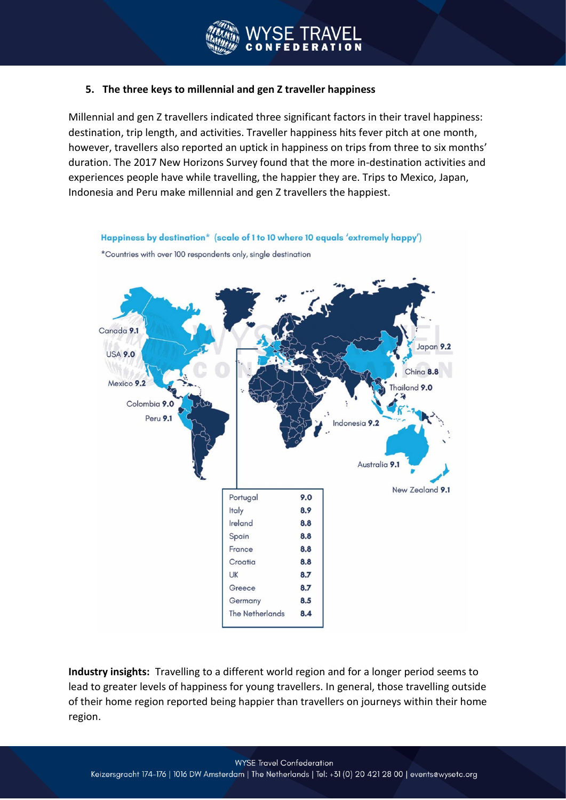#### **5. The three keys to millennial and gen Z traveller happiness**

Millennial and gen Z travellers indicated three significant factors in their travel happiness: destination, trip length, and activities. Traveller happiness hits fever pitch at one month, however, travellers also reported an uptick in happiness on trips from three to six months' duration. The 2017 New Horizons Survey found that the more in-destination activities and experiences people have while travelling, the happier they are. Trips to Mexico, Japan, Indonesia and Peru make millennial and gen Z travellers the happiest.



**Industry insights:** Travelling to a different world region and for a longer period seems to lead to greater levels of happiness for young travellers. In general, those travelling outside of their home region reported being happier than travellers on journeys within their home region.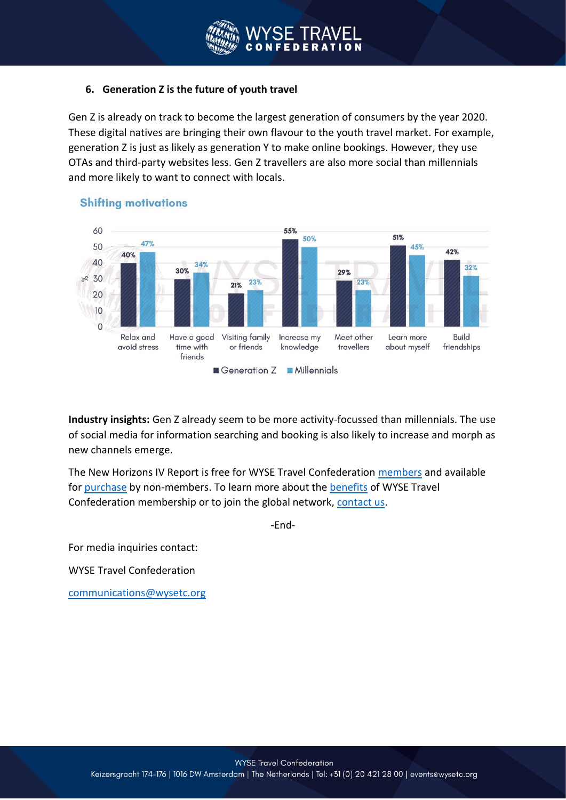## **6. Generation Z is the future of youth travel**

Gen Z is already on track to become the largest generation of consumers by the year 2020. These digital natives are bringing their own flavour to the youth travel market. For example, generation Z is just as likely as generation Y to make online bookings. However, they use OTAs and third-party websites less. Gen Z travellers are also more social than millennials and more likely to want to connect with locals.



## **Shifting motivations**

**Industry insights:** Gen Z already seem to be more activity-focussed than millennials. The use of social media for information searching and booking is also likely to increase and morph as new channels emerge.

The New Horizons IV Report is free for WYSE Travel Confederation members and available for purchase by non-members. To learn more about the benefits of WYSE Travel Confederation membership or to join the global network, contact us.

-End-

For media inquiries contact:

WYSE Travel Confederation

communications@wysetc.org